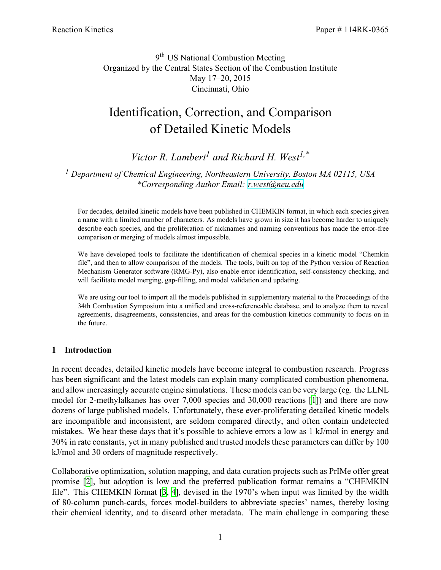9<sup>th</sup> US National Combustion Meeting Organized by the Central States Section of the Combustion Institute May 17–20, 2015 Cincinnati, Ohio

# Identification, Correction, and Comparison of Detailed Kinetic Models

*Victor R. Lambert<sup>1</sup> and Richard H. West1,\**

*<sup>1</sup> Department of Chemical Engineering, Northeastern University, Boston MA 02115, USA \*Corresponding Author Email: [r.west@neu.edu](mailto:r.west@neu.edu)*

For decades, detailed kinetic models have been published in CHEMKIN format, in which each species given a name with a limited number of characters. As models have grown in size it has become harder to uniquely describe each species, and the proliferation of nicknames and naming conventions has made the error-free comparison or merging of models almost impossible.

We have developed tools to facilitate the identification of chemical species in a kinetic model "Chemkin file", and then to allow comparison of the models. The tools, built on top of the Python version of Reaction Mechanism Generator software (RMG-Py), also enable error identification, self-consistency checking, and will facilitate model merging, gap-filling, and model validation and updating.

We are using our tool to import all the models published in supplementary material to the Proceedings of the 34th Combustion Symposium into a unified and cross-referencable database, and to analyze them to reveal agreements, disagreements, consistencies, and areas for the combustion kinetics community to focus on in the future.

## **1 Introduction**

In recent decades, detailed kinetic models have become integral to combustion research. Progress has been significant and the latest models can explain many complicated combustion phenomena, and allow increasingly accurate engine simulations. These models can be very large (eg. the LLNL model for 2-methylalkanes has over 7,000 species and 30,000 reactions[[1\]](#page-7-0)) and there are now dozens of large published models. Unfortunately, these ever-proliferating detailed kinetic models are incompatible and inconsistent, are seldom compared directly, and often contain undetected mistakes. We hear these days that it's possible to achieve errors a low as 1 kJ/mol in energy and 30% in rate constants, yet in many published and trusted models these parameters can differ by 100 kJ/mol and 30 orders of magnitude respectively.

Collaborative optimization, solution mapping, and data curation projects such as PrIMe offer great promise [\[2](#page-7-1)], but adoption is low and the preferred publication format remains a "CHEMKIN file". This CHEMKIN format[[3](#page-7-2), [4](#page-7-3)], devised in the 1970's when input was limited by the width of 80-column punch-cards, forces model-builders to abbreviate species' names, thereby losing their chemical identity, and to discard other metadata. The main challenge in comparing these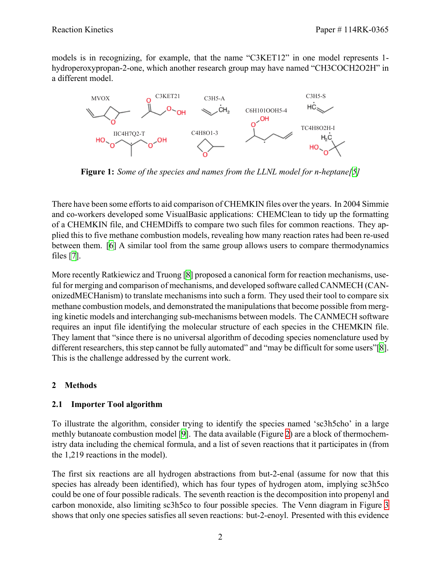models is in recognizing, for example, that the name "C3KET12" in one model represents 1 hydroperoxypropan-2-one, which another research group may have named "CH3COCH2O2H" in a different model.



**Figure 1:** *Some of the species and names from the LLNL model for n-heptane[\[5](#page-7-4)]*

There have been some efforts to aid comparison of CHEMKIN files over the years. In 2004 Simmie and co-workers developed some VisualBasic applications: CHEMClean to tidy up the formatting of a CHEMKIN file, and CHEMDiffs to compare two such files for common reactions. They applied this to five methane combustion models, revealing how many reaction rates had been re-used between them.[[6\]](#page-7-5) A similar tool from the same group allows users to compare thermodynamics files[[7\]](#page-7-6).

More recently Ratkiewicz and Truong [\[8](#page-7-7)] proposed a canonical form for reaction mechanisms, useful for merging and comparison of mechanisms, and developed software called CANMECH (CANonizedMECHanism) to translate mechanisms into such a form. They used their tool to compare six methane combustion models, and demonstrated the manipulations that become possible from merging kinetic models and interchanging sub-mechanisms between models. The CANMECH software requires an input file identifying the molecular structure of each species in the CHEMKIN file. They lament that "since there is no universal algorithm of decoding species nomenclature used by different researchers, this step cannot be fully automated" and "may be difficult for some users"[\[8](#page-7-7)]. This is the challenge addressed by the current work.

# **2 Methods**

# **2.1 Importer Tool algorithm**

To illustrate the algorithm, consider trying to identify the species named 'sc3h5cho' in a large methly butanoate combustion model [\[9](#page-7-8)]. The data available (Figure [2](#page-2-0)) are a block of thermochemistry data including the chemical formula, and a list of seven reactions that it participates in (from the 1,219 reactions in the model).

The first six reactions are all hydrogen abstractions from but-2-enal (assume for now that this species has already been identified), which has four types of hydrogen atom, implying sc3h5co could be one of four possible radicals. The seventh reaction is the decomposition into propenyl and carbon monoxide, also limiting sc3h5co to four possible species. The Venn diagram in Figure [3](#page-2-1) shows that only one species satisfies all seven reactions: but-2-enoyl. Presented with this evidence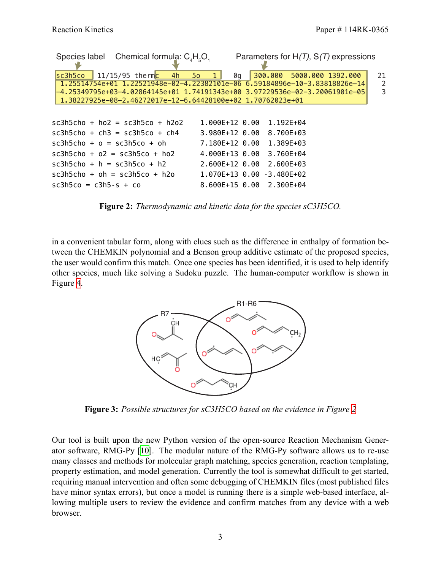<span id="page-2-0"></span>

| Species label Chemical formula: $C_4H_5O_1$                                                                                                                                                                                                                                                           |                                                      | Parameters for $H(T)$ , $S(T)$ expressions |              |
|-------------------------------------------------------------------------------------------------------------------------------------------------------------------------------------------------------------------------------------------------------------------------------------------------------|------------------------------------------------------|--------------------------------------------|--------------|
| $11/15/95$ thermc 4h 5o 1<br>s <sub>c3h5co</sub><br>1.25514754e+01 1.22521948e-02-4.22382101e-06 6.59184896e-10-3.83818826e-14<br>l-4.25349795e+03-4.02864145e+01 1.74191343e+00 3.97229536e-02-3.20061901e-05<br>1.38227925e-08-2.46272017e-12-6.64428100e+02                         1.70762023e+01 | 0q                                                   | 300.000 5000.000 1392.000                  | 21<br>2<br>3 |
| $sc3h5cho + ho2 = sc3h5co + h2o2$                                                                                                                                                                                                                                                                     | 1.000E+12 0.00                                       | 1.192E+04                                  |              |
| $sc3h5cho + ch3 = sc3h5co + ch4$<br>$sc3h5cho + o = sc3h5co + oh$<br>$sc3h5cho + 02 = sc3h5co + ho2$                                                                                                                                                                                                  | $3.980E+12$ 0.00<br>7.180E+12 0.00<br>4.000E+13 0.00 | 8.700E+03<br>1.389E+03<br>3.760E+04        |              |
| $sc3h5cho + h = sc3h5co + h2$<br>$sc3h5cho + oh = sc3h5co + h2o$                                                                                                                                                                                                                                      | 2.600E+12 0.00                                       | 2.600E+03<br>1.070E+13 0.00 -3.480E+02     |              |
| $sc3h5co = c3h5-s + co$                                                                                                                                                                                                                                                                               | $8.600E+15$ 0.00                                     | 2.300E+04                                  |              |

**Figure 2:** *Thermodynamic and kinetic data for the species sC3H5CO.*

<span id="page-2-1"></span>in a convenient tabular form, along with clues such as the difference in enthalpy of formation between the CHEMKIN polynomial and a Benson group additive estimate of the proposed species, the user would confirm this match. Once one species has been identified, it is used to help identify other species, much like solving a Sudoku puzzle. The human-computer workflow is shown in Figure [4](#page-3-0).



**Figure 3:** *Possible structures for sC3H5CO based on the evidence in Figure [2](#page-2-0)*

Our tool is built upon the new Python version of the open-source Reaction Mechanism Generator software, RMG-Py [\[10\]](#page-7-9). The modular nature of the RMG-Py software allows us to re-use many classes and methods for molecular graph matching, species generation, reaction templating, property estimation, and model generation. Currently the tool is somewhat difficult to get started, requiring manual intervention and often some debugging of CHEMKIN files (most published files have minor syntax errors), but once a model is running there is a simple web-based interface, allowing multiple users to review the evidence and confirm matches from any device with a web browser.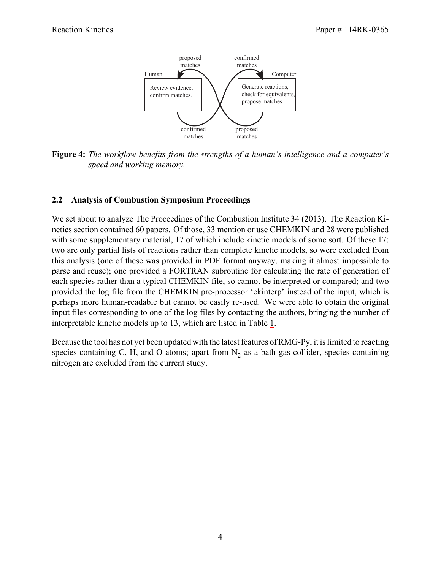<span id="page-3-0"></span>

**Figure 4:** *The workflow benefits from the strengths of a human's intelligence and a computer's speed and working memory.*

## **2.2 Analysis of Combustion Symposium Proceedings**

We set about to analyze The Proceedings of the Combustion Institute 34 (2013). The Reaction Kinetics section contained 60 papers. Of those, 33 mention or use CHEMKIN and 28 were published with some supplementary material, 17 of which include kinetic models of some sort. Of these 17: two are only partial lists of reactions rather than complete kinetic models, so were excluded from this analysis (one of these was provided in PDF format anyway, making it almost impossible to parse and reuse); one provided a FORTRAN subroutine for calculating the rate of generation of each species rather than a typical CHEMKIN file, so cannot be interpreted or compared; and two provided the log file from the CHEMKIN pre-processor 'ckinterp' instead of the input, which is perhaps more human-readable but cannot be easily re-used. We were able to obtain the original input files corresponding to one of the log files by contacting the authors, bringing the number of interpretable kinetic models up to 13, which are listed in Table [1.](#page-4-0)

Because the tool has not yet been updated with the latest features of RMG-Py, it is limited to reacting species containing C, H, and O atoms; apart from  $N_2$  as a bath gas collider, species containing nitrogen are excluded from the current study.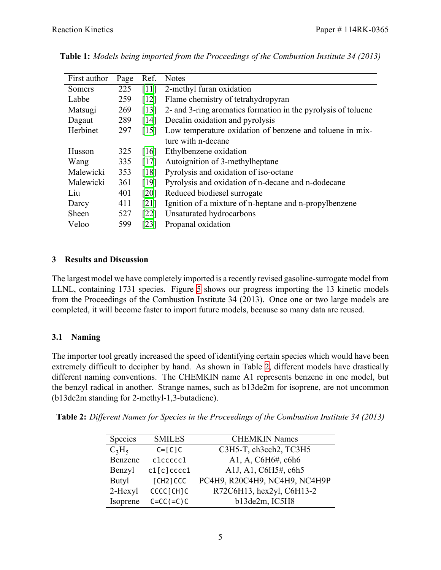| First author | Page | Ref.               | <b>Notes</b>                                                  |
|--------------|------|--------------------|---------------------------------------------------------------|
| Somers       | 225  | [11]               | 2-methyl furan oxidation                                      |
| Labbe        | 259  | $\lceil 12 \rceil$ | Flame chemistry of tetrahydropyran                            |
| Matsugi      | 269  | $\lceil 13 \rceil$ | 2- and 3-ring aromatics formation in the pyrolysis of toluene |
| Dagaut       | 289  | $\lceil 14 \rceil$ | Decalin oxidation and pyrolysis                               |
| Herbinet     | 297  | $\lceil 15 \rceil$ | Low temperature oxidation of benzene and toluene in mix-      |
|              |      |                    | ture with n-decane                                            |
| Husson       | 325  | [16]               | Ethylbenzene oxidation                                        |
| Wang         | 335  | [17]               | Autoignition of 3-methylheptane                               |
| Malewicki    | 353  | $\lceil 18 \rceil$ | Pyrolysis and oxidation of iso-octane                         |
| Malewicki    | 361  | [19]               | Pyrolysis and oxidation of n-decane and n-dodecane            |
| Liu          | 401  | [20]               | Reduced biodiesel surrogate                                   |
| Darcy        | 411  | [21]               | Ignition of a mixture of n-heptane and n-propylbenzene        |
| Sheen        | 527  | $\lceil 22 \rceil$ | Unsaturated hydrocarbons                                      |
| Veloo        | 599  | $\lceil 23 \rceil$ | Propanal oxidation                                            |

<span id="page-4-0"></span>**Table 1:** *Models being imported from the Proceedings of the Combustion Institute 34 (2013)*

# **3 Results and Discussion**

The largest model we have completely imported is a recently revised gasoline-surrogate model from LLNL, containing 1731 species. Figure [5](#page-5-0) shows our progress importing the 13 kinetic models from the Proceedings of the Combustion Institute 34 (2013). Once one or two large models are completed, it will become faster to import future models, because so many data are reused.

# **3.1 Naming**

The importer tool greatly increased the speed of identifying certain species which would have been extremely difficult to decipher by hand. As shown in Table [2,](#page-4-1) different models have drastically different naming conventions. The CHEMKIN name A1 represents benzene in one model, but the benzyl radical in another. Strange names, such as b13de2m for isoprene, are not uncommon (b13de2m standing for 2-methyl-1,3-butadiene).

<span id="page-4-1"></span>**Table 2:** *Different Names for Species in the Proceedings of the Combustion Institute 34 (2013)*

| <b>Species</b> | <b>SMILES</b> | <b>CHEMKIN Names</b>          |
|----------------|---------------|-------------------------------|
| $C_3H_5$       | $C = [C]C$    | C3H5-T, ch3cch2, TC3H5        |
| Benzene        | clccccc1      | A1, A, C6H6#, c6h6            |
| Benzyl         | cl[c]ccccl    | A1J, A1, C6H5#, c6h5          |
| <b>Butyl</b>   | [CH2]CCC      | PC4H9, R20C4H9, NC4H9, NC4H9P |
| 2-Hexyl        | CCCC[CH]C     | R72C6H13, hex2yl, C6H13-2     |
| Isoprene       | $C=CC (=C)C$  | b13de2m, IC5H8                |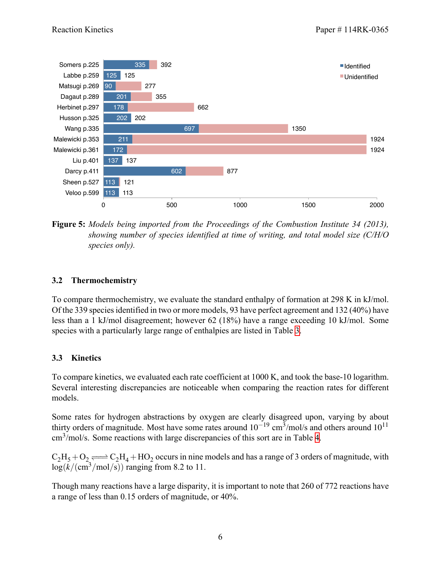<span id="page-5-0"></span>

**Figure 5:** *Models being imported from the Proceedings of the Combustion Institute 34 (2013), showing number of species identified at time of writing, and total model size (C/H/O species only).*

## **3.2 Thermochemistry**

To compare thermochemistry, we evaluate the standard enthalpy of formation at 298 K in kJ/mol. Of the 339 species identified in two or more models, 93 have perfect agreement and 132 (40%) have less than a 1 kJ/mol disagreement; however 62 (18%) have a range exceeding 10 kJ/mol. Some species with a particularly large range of enthalpies are listed in Table [3.](#page-6-0)

# **3.3 Kinetics**

To compare kinetics, we evaluated each rate coefficient at 1000 K, and took the base-10 logarithm. Several interesting discrepancies are noticeable when comparing the reaction rates for different models.

Some rates for hydrogen abstractions by oxygen are clearly disagreed upon, varying by about thirty orders of magnitude. Most have some rates around 10<sup>-19</sup> cm<sup>3</sup>/mol/s and others around 10<sup>11</sup> cm<sup>3</sup>/mol/s. Some reactions with large discrepancies of this sort are in Table [4.](#page-6-1)

 $C_2H_5+O_2 \rightleftharpoons C_2H_4+HO_2$  occurs in nine models and has a range of 3 orders of magnitude, with  $log(k/(cm^3/mol/s))$  ranging from 8.2 to 11.

Though many reactions have a large disparity, it is important to note that 260 of 772 reactions have a range of less than 0.15 orders of magnitude, or 40%.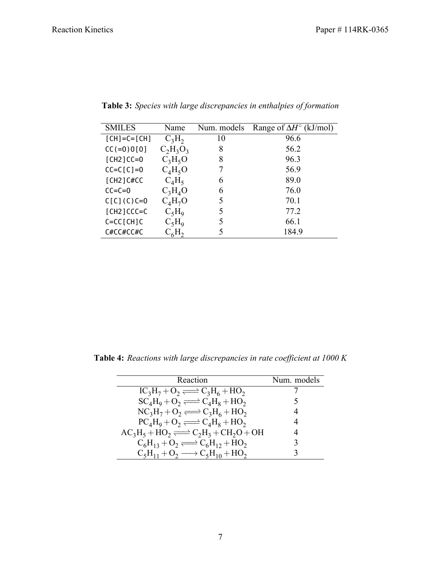| <b>SMILES</b>  | Name        | Num. models | Range of $\Delta H^{\circ}$ (kJ/mol) |
|----------------|-------------|-------------|--------------------------------------|
| $[CH]=C=[CH]$  | $C_3H_2$    | 10          | 96.6                                 |
| $CC (=0) 0[0]$ | $C_2H_3O_3$ | 8           | 56.2                                 |
| $[CH2]CC=0$    | $C_3H_5O$   | 8           | 96.3                                 |
| $CC=C[C]=0$    | $C_4H_5O$   |             | 56.9                                 |
| $[CH2]$ C#CC   | $C_4H_5$    | 6           | 89.0                                 |
| $CC=C=0$       | $C_3H_4O$   | 6           | 76.0                                 |
| $C[C](C)C=0$   | $C_4H_7O$   | 5           | 70.1                                 |
| $[CH2]CCC=C$   | $C_5H_9$    | 5           | 77.2                                 |
| $C=CC$ [CH]C   | $C_5H_9$    | 5           | 66.1                                 |
| C#CC#CC#C      | $L_6H_2$    | 5           | 184.9                                |

<span id="page-6-0"></span>**Table 3:** *Species with large discrepancies in enthalpies of formation*

<span id="page-6-1"></span>**Table 4:** *Reactions with large discrepancies in rate coefficient at 1000 K*

| Reaction                                                | Num. models |
|---------------------------------------------------------|-------------|
|                                                         |             |
| $IC_3H_7 + O_2 \rightleftharpoons C_3H_6 + HO_2$        |             |
| $SC_4H_9 + O_2 \rightleftharpoons C_4H_8 + HO_2$        | 5           |
| $NC_3H_7+O_2 \rightleftharpoons C_3H_6+HO_2$            | 4           |
| $PC_4H_9 + O_2 \rightleftharpoons C_4H_8 + HO_2$        |             |
| $AC_3H_5 + HO_2 \rightleftharpoons C_2H_3 + CH_2O + OH$ | 4           |
| $C_6H_{13} + O_2 \rightleftharpoons C_6H_{12} + HO_2$   |             |
| $C_5H_{11} + O_2 \longrightarrow C_5H_{10} + HO_2$      |             |